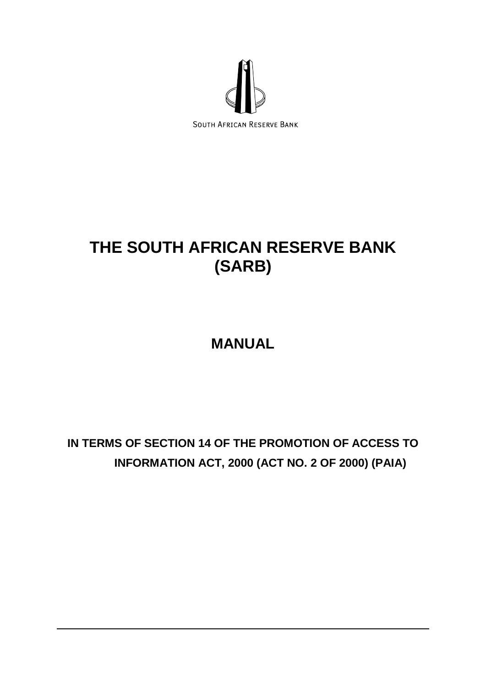

# **THE SOUTH AFRICAN RESERVE BANK (SARB)**

# **MANUAL**

# **IN TERMS OF SECTION 14 OF THE PROMOTION OF ACCESS TO INFORMATION ACT, 2000 (ACT NO. 2 OF 2000) (PAIA)**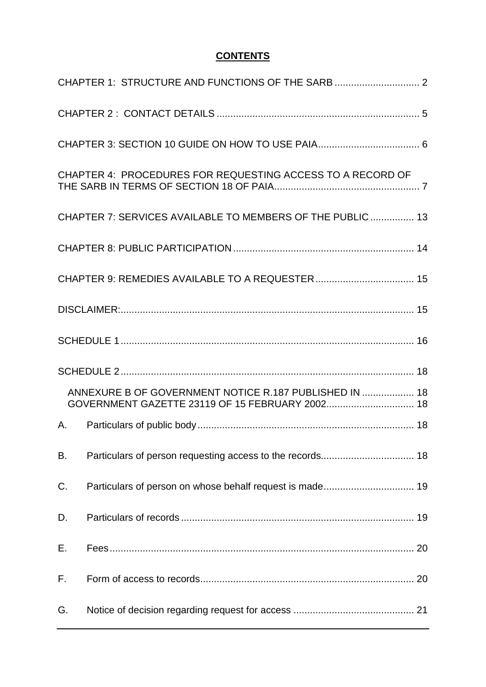## **CONTENTS**

|    | CHAPTER 4: PROCEDURES FOR REQUESTING ACCESS TO A RECORD OF |  |
|----|------------------------------------------------------------|--|
|    | CHAPTER 7: SERVICES AVAILABLE TO MEMBERS OF THE PUBLIC 13  |  |
|    |                                                            |  |
|    |                                                            |  |
|    |                                                            |  |
|    |                                                            |  |
|    |                                                            |  |
|    |                                                            |  |
|    | ANNEXURE B OF GOVERNMENT NOTICE R.187 PUBLISHED IN  18     |  |
| A. |                                                            |  |
| B. |                                                            |  |
| C. |                                                            |  |
| D. |                                                            |  |
| Е. |                                                            |  |
| F. |                                                            |  |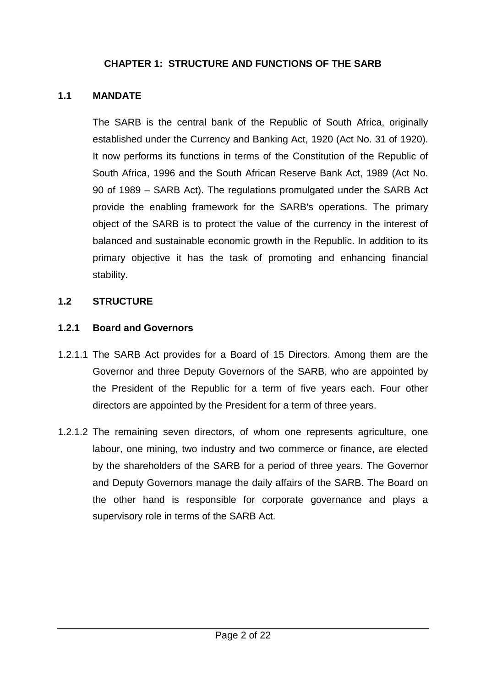## **CHAPTER 1: STRUCTURE AND FUNCTIONS OF THE SARB**

#### <span id="page-2-0"></span>**1.1 MANDATE**

The SARB is the central bank of the Republic of South Africa, originally established under the Currency and Banking Act, 1920 (Act No. 31 of 1920). It now performs its functions in terms of the Constitution of the Republic of South Africa, 1996 and the South African Reserve Bank Act, 1989 (Act No. 90 of 1989 – SARB Act). The regulations promulgated under the SARB Act provide the enabling framework for the SARB's operations. The primary object of the SARB is to protect the value of the currency in the interest of balanced and sustainable economic growth in the Republic. In addition to its primary objective it has the task of promoting and enhancing financial stability.

#### **1.2 STRUCTURE**

#### **1.2.1 Board and Governors**

- 1.2.1.1 The SARB Act provides for a Board of 15 Directors. Among them are the Governor and three Deputy Governors of the SARB, who are appointed by the President of the Republic for a term of five years each. Four other directors are appointed by the President for a term of three years.
- 1.2.1.2 The remaining seven directors, of whom one represents agriculture, one labour, one mining, two industry and two commerce or finance, are elected by the shareholders of the SARB for a period of three years. The Governor and Deputy Governors manage the daily affairs of the SARB. The Board on the other hand is responsible for corporate governance and plays a supervisory role in terms of the SARB Act.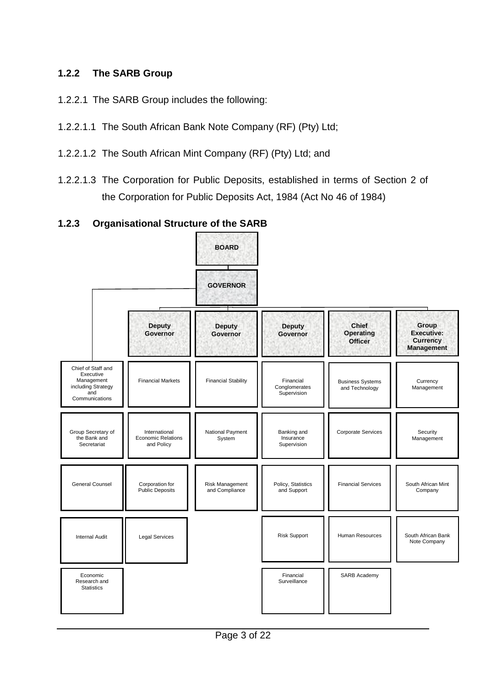## **1.2.2 The SARB Group**

- 1.2.2.1 The SARB Group includes the following:
- 1.2.2.1.1 The South African Bank Note Company (RF) (Pty) Ltd;
- 1.2.2.1.2 The South African Mint Company (RF) (Pty) Ltd; and
- 1.2.2.1.3 The Corporation for Public Deposits, established in terms of Section 2 of the Corporation for Public Deposits Act, 1984 (Act No 46 of 1984)

## **1.2.3 Organisational Structure of the SARB**

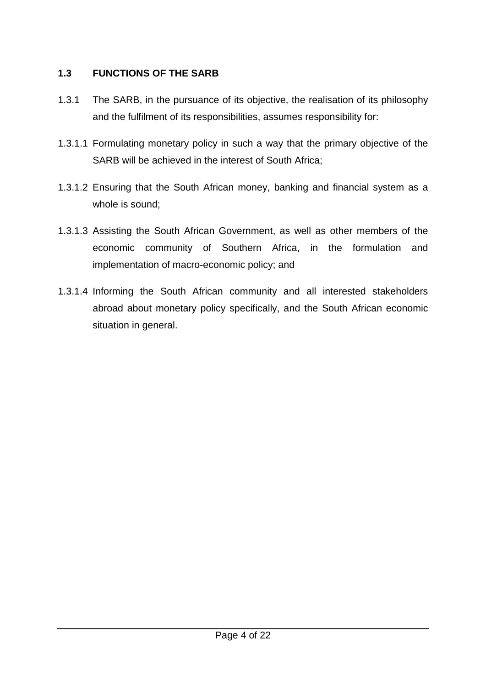## **1.3 FUNCTIONS OF THE SARB**

- 1.3.1 The SARB, in the pursuance of its objective, the realisation of its philosophy and the fulfilment of its responsibilities, assumes responsibility for:
- 1.3.1.1 Formulating monetary policy in such a way that the primary objective of the SARB will be achieved in the interest of South Africa;
- 1.3.1.2 Ensuring that the South African money, banking and financial system as a whole is sound;
- 1.3.1.3 Assisting the South African Government, as well as other members of the economic community of Southern Africa, in the formulation and implementation of macro-economic policy; and
- 1.3.1.4 Informing the South African community and all interested stakeholders abroad about monetary policy specifically, and the South African economic situation in general.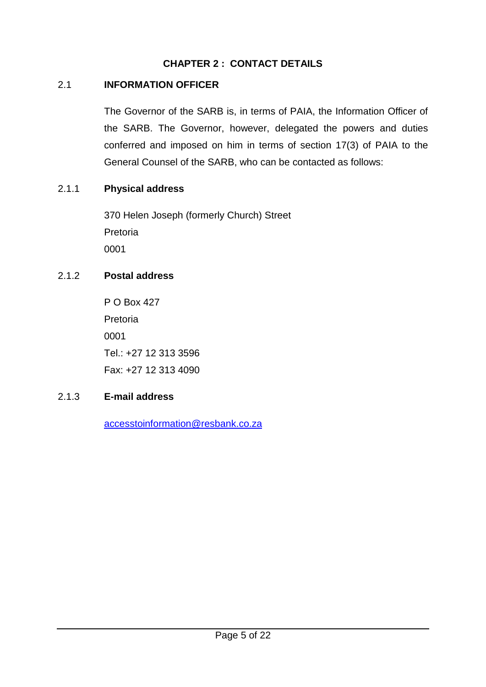## **CHAPTER 2 : CONTACT DETAILS**

### <span id="page-5-0"></span>2.1 **INFORMATION OFFICER**

The Governor of the SARB is, in terms of PAIA, the Information Officer of the SARB. The Governor, however, delegated the powers and duties conferred and imposed on him in terms of section 17(3) of PAIA to the General Counsel of the SARB, who can be contacted as follows:

### 2.1.1 **Physical address**

370 Helen Joseph (formerly Church) Street Pretoria 0001

## 2.1.2 **Postal address**

P O Box 427 Pretoria 0001 Tel.: +27 12 313 3596 Fax: +27 12 313 4090

### 2.1.3 **E-mail address**

[accesstoinformation@resbank.co.za](mailto:accesstoinformation@resbank.co.za)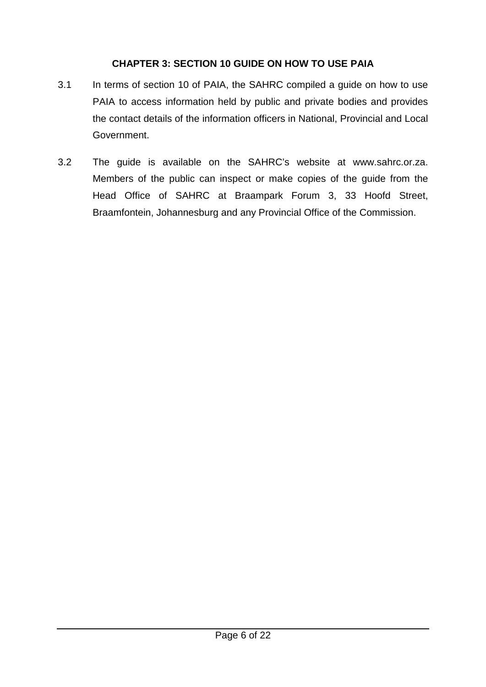## **CHAPTER 3: SECTION 10 GUIDE ON HOW TO USE PAIA**

- <span id="page-6-0"></span>3.1 In terms of section 10 of PAIA, the SAHRC compiled a guide on how to use PAIA to access information held by public and private bodies and provides the contact details of the information officers in National, Provincial and Local Government.
- 3.2 The guide is available on the SAHRC's website at [www.sahrc.or.za.](http://www.sahrc.or.za/) Members of the public can inspect or make copies of the guide from the Head Office of SAHRC at Braampark Forum 3, 33 Hoofd Street, Braamfontein, Johannesburg and any Provincial Office of the Commission.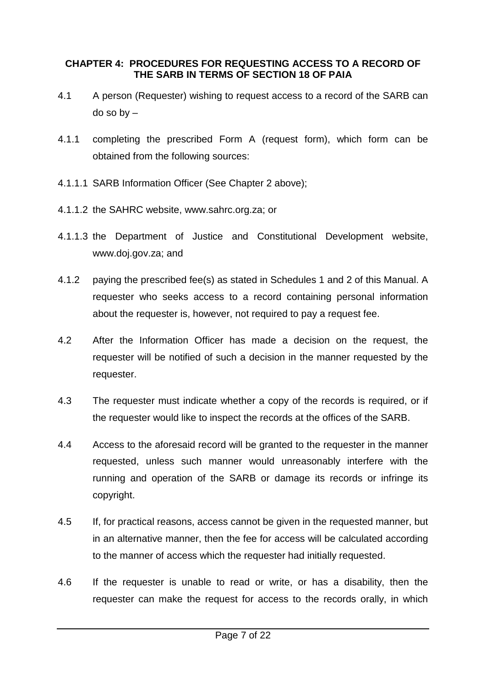#### <span id="page-7-0"></span>**CHAPTER 4: PROCEDURES FOR REQUESTING ACCESS TO A RECORD OF THE SARB IN TERMS OF SECTION 18 OF PAIA**

- 4.1 A person (Requester) wishing to request access to a record of the SARB can do so by –
- 4.1.1 completing the prescribed Form A (request form), which form can be obtained from the following sources:
- 4.1.1.1 SARB Information Officer (See Chapter 2 above);
- 4.1.1.2 the SAHRC website, [www.sahrc.org.za;](http://www.sahrc.org.za/) or
- 4.1.1.3 the Department of Justice and Constitutional Development website, [www.doj.gov.za;](http://www.doj.gov.za/) and
- 4.1.2 paying the prescribed fee(s) as stated in Schedules 1 and 2 of this Manual. A requester who seeks access to a record containing personal information about the requester is, however, not required to pay a request fee.
- 4.2 After the Information Officer has made a decision on the request, the requester will be notified of such a decision in the manner requested by the requester.
- 4.3 The requester must indicate whether a copy of the records is required, or if the requester would like to inspect the records at the offices of the SARB.
- 4.4 Access to the aforesaid record will be granted to the requester in the manner requested, unless such manner would unreasonably interfere with the running and operation of the SARB or damage its records or infringe its copyright.
- 4.5 If, for practical reasons, access cannot be given in the requested manner, but in an alternative manner, then the fee for access will be calculated according to the manner of access which the requester had initially requested.
- 4.6 If the requester is unable to read or write, or has a disability, then the requester can make the request for access to the records orally, in which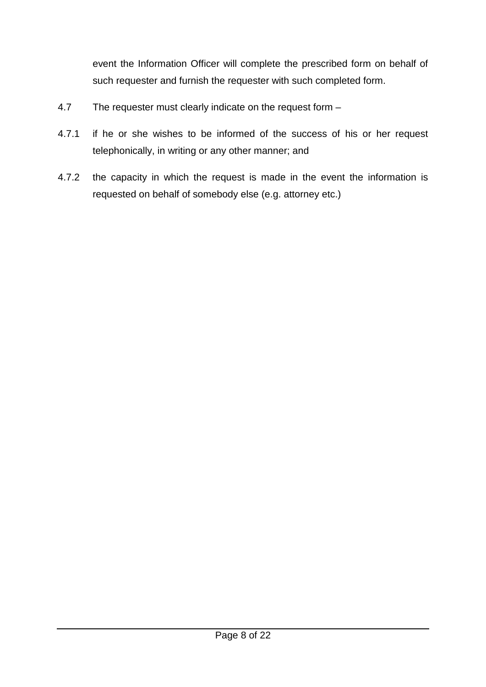event the Information Officer will complete the prescribed form on behalf of such requester and furnish the requester with such completed form.

- 4.7 The requester must clearly indicate on the request form –
- 4.7.1 if he or she wishes to be informed of the success of his or her request telephonically, in writing or any other manner; and
- 4.7.2 the capacity in which the request is made in the event the information is requested on behalf of somebody else (e.g. attorney etc.)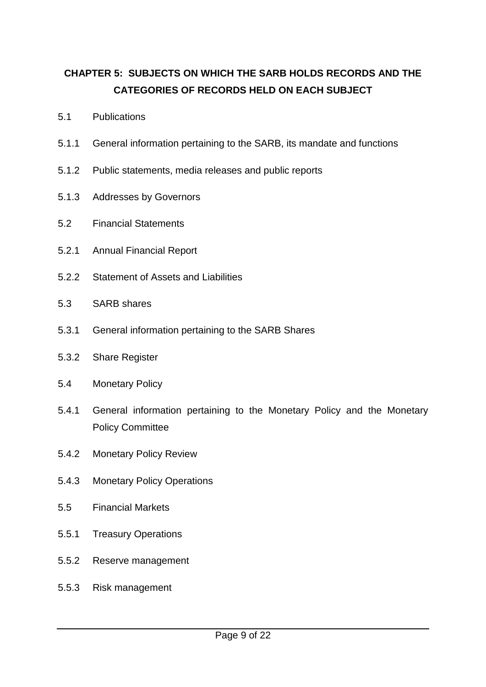## **CHAPTER 5: SUBJECTS ON WHICH THE SARB HOLDS RECORDS AND THE CATEGORIES OF RECORDS HELD ON EACH SUBJECT**

- 5.1 Publications
- 5.1.1 General information pertaining to the SARB, its mandate and functions
- 5.1.2 Public statements, media releases and public reports
- 5.1.3 Addresses by Governors
- 5.2 Financial Statements
- 5.2.1 Annual Financial Report
- 5.2.2 Statement of Assets and Liabilities
- 5.3 SARB shares
- 5.3.1 General information pertaining to the SARB Shares
- 5.3.2 Share Register
- 5.4 Monetary Policy
- 5.4.1 General information pertaining to the Monetary Policy and the Monetary Policy Committee
- 5.4.2 Monetary Policy Review
- 5.4.3 Monetary Policy Operations
- 5.5 Financial Markets
- 5.5.1 Treasury Operations
- 5.5.2 Reserve management
- 5.5.3 Risk management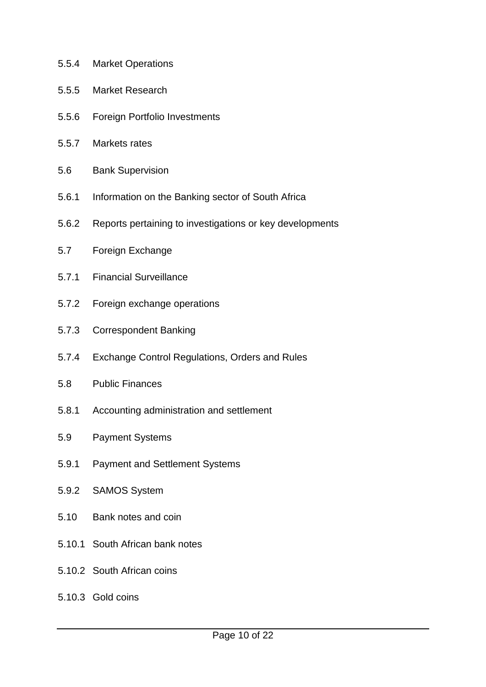- 5.5.4 Market Operations
- 5.5.5 Market Research
- 5.5.6 Foreign Portfolio Investments
- 5.5.7 Markets rates
- 5.6 Bank Supervision
- 5.6.1 Information on the Banking sector of South Africa
- 5.6.2 Reports pertaining to investigations or key developments
- 5.7 Foreign Exchange
- 5.7.1 Financial Surveillance
- 5.7.2 Foreign exchange operations
- 5.7.3 Correspondent Banking
- 5.7.4 Exchange Control Regulations, Orders and Rules
- 5.8 Public Finances
- 5.8.1 Accounting administration and settlement
- 5.9 Payment Systems
- 5.9.1 Payment and Settlement Systems
- 5.9.2 SAMOS System
- 5.10 Bank notes and coin
- 5.10.1 South African bank notes
- 5.10.2 South African coins
- 5.10.3 Gold coins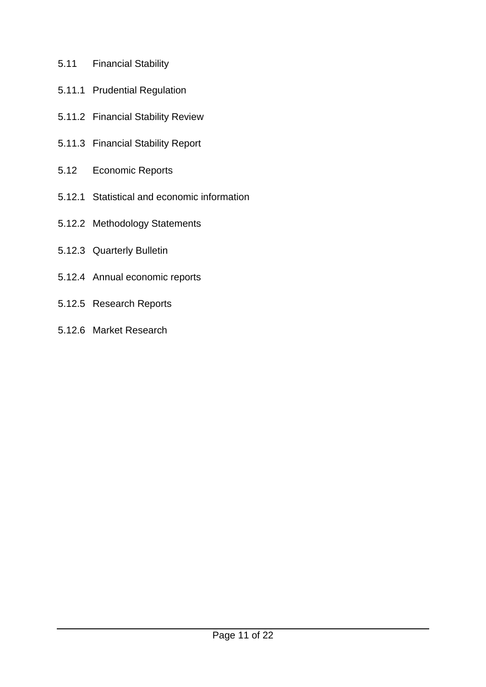- 5.11 Financial Stability
- 5.11.1 Prudential Regulation
- 5.11.2 Financial Stability Review
- 5.11.3 Financial Stability Report
- 5.12 Economic Reports
- 5.12.1 Statistical and economic information
- 5.12.2 Methodology Statements
- 5.12.3 Quarterly Bulletin
- 5.12.4 Annual economic reports
- 5.12.5 Research Reports
- 5.12.6 Market Research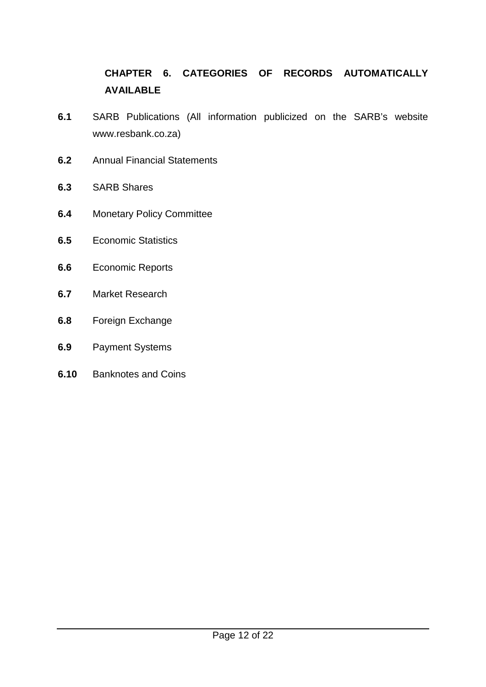## **CHAPTER 6. CATEGORIES OF RECORDS AUTOMATICALLY AVAILABLE**

- **6.1** SARB Publications (All information publicized on the SARB's website www.resbank.co.za)
- **6.2** Annual Financial Statements
- **6.3** SARB Shares
- **6.4** Monetary Policy Committee
- **6.5** Economic Statistics
- **6.6** Economic Reports
- **6.7** Market Research
- **6.8** Foreign Exchange
- **6.9** Payment Systems
- **6.10** Banknotes and Coins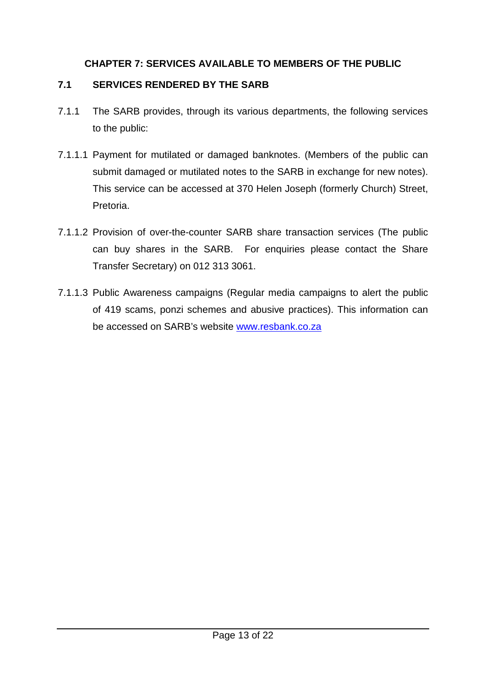## **CHAPTER 7: SERVICES AVAILABLE TO MEMBERS OF THE PUBLIC**

## <span id="page-13-0"></span>**7.1 SERVICES RENDERED BY THE SARB**

- 7.1.1 The SARB provides, through its various departments, the following services to the public:
- 7.1.1.1 Payment for mutilated or damaged banknotes. (Members of the public can submit damaged or mutilated notes to the SARB in exchange for new notes). This service can be accessed at 370 Helen Joseph (formerly Church) Street, Pretoria.
- 7.1.1.2 Provision of over-the-counter SARB share transaction services (The public can buy shares in the SARB. For enquiries please contact the Share Transfer Secretary) on 012 313 3061.
- 7.1.1.3 Public Awareness campaigns (Regular media campaigns to alert the public of 419 scams, ponzi schemes and abusive practices). This information can be accessed on SARB's website [www.resbank.co.za](http://www.resbank.co.za/)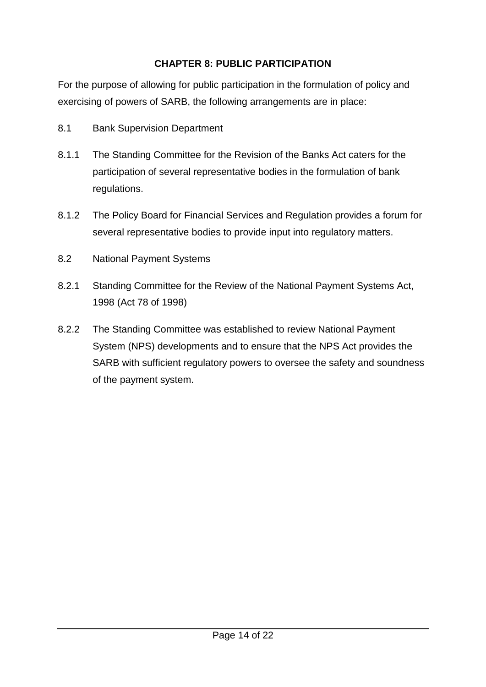## **CHAPTER 8: PUBLIC PARTICIPATION**

<span id="page-14-0"></span>For the purpose of allowing for public participation in the formulation of policy and exercising of powers of SARB, the following arrangements are in place:

- 8.1 Bank Supervision Department
- 8.1.1 The Standing Committee for the Revision of the Banks Act caters for the participation of several representative bodies in the formulation of bank regulations.
- 8.1.2 The Policy Board for Financial Services and Regulation provides a forum for several representative bodies to provide input into regulatory matters.
- 8.2 National Payment Systems
- 8.2.1 Standing Committee for the Review of the National Payment Systems Act, 1998 (Act 78 of 1998)
- 8.2.2 The Standing Committee was established to review National Payment System (NPS) developments and to ensure that the NPS Act provides the SARB with sufficient regulatory powers to oversee the safety and soundness of the payment system.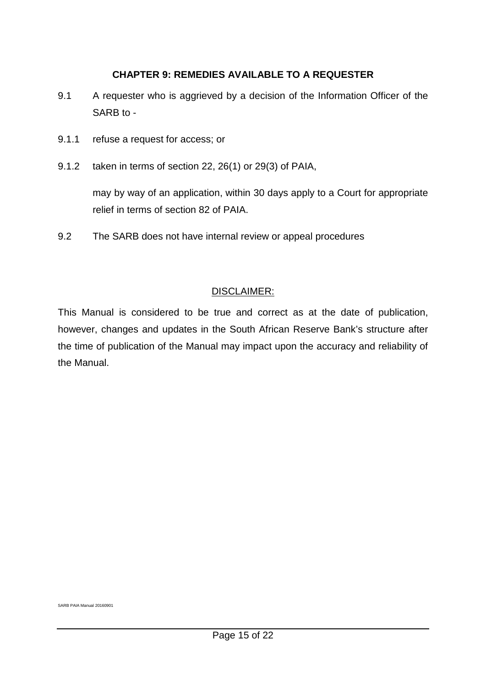#### **CHAPTER 9: REMEDIES AVAILABLE TO A REQUESTER**

- <span id="page-15-0"></span>9.1 A requester who is aggrieved by a decision of the Information Officer of the SARB to -
- 9.1.1 refuse a request for access; or
- 9.1.2 taken in terms of section 22, 26(1) or 29(3) of PAIA,

may by way of an application, within 30 days apply to a Court for appropriate relief in terms of section 82 of PAIA.

9.2 The SARB does not have internal review or appeal procedures

#### <span id="page-15-1"></span>DISCLAIMER:

This Manual is considered to be true and correct as at the date of publication, however, changes and updates in the South African Reserve Bank's structure after the time of publication of the Manual may impact upon the accuracy and reliability of the Manual.

SARB PAIA Manual 20160901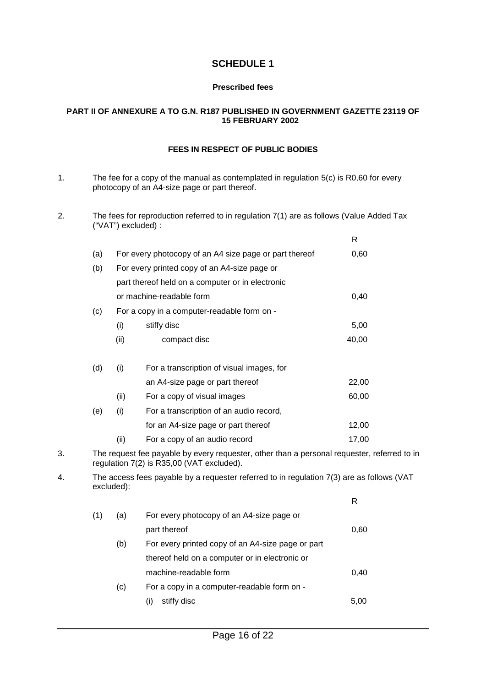#### **SCHEDULE 1**

#### **Prescribed fees**

#### <span id="page-16-0"></span>**PART II OF ANNEXURE A TO G.N. R187 PUBLISHED IN GOVERNMENT GAZETTE 23119 OF 15 FEBRUARY 2002**

#### **FEES IN RESPECT OF PUBLIC BODIES**

- 1. The fee for a copy of the manual as contemplated in regulation 5(c) is R0,60 for every photocopy of an A4-size page or part thereof.
- 2. The fees for reproduction referred to in regulation 7(1) are as follows (Value Added Tax ("VAT") excluded) :

|    |     |                                                                                                                                          |                                                                                           | R     |  |  |  |  |  |
|----|-----|------------------------------------------------------------------------------------------------------------------------------------------|-------------------------------------------------------------------------------------------|-------|--|--|--|--|--|
|    | (a) |                                                                                                                                          | For every photocopy of an A4 size page or part thereof                                    | 0,60  |  |  |  |  |  |
|    | (b) |                                                                                                                                          | For every printed copy of an A4-size page or                                              |       |  |  |  |  |  |
|    |     |                                                                                                                                          | part thereof held on a computer or in electronic                                          |       |  |  |  |  |  |
|    |     |                                                                                                                                          | or machine-readable form                                                                  | 0,40  |  |  |  |  |  |
|    | (c) | For a copy in a computer-readable form on -                                                                                              |                                                                                           |       |  |  |  |  |  |
|    |     | (i)                                                                                                                                      | stiffy disc                                                                               | 5,00  |  |  |  |  |  |
|    |     | (ii)                                                                                                                                     | compact disc                                                                              | 40,00 |  |  |  |  |  |
|    | (d) | (i)                                                                                                                                      | For a transcription of visual images, for                                                 |       |  |  |  |  |  |
|    |     |                                                                                                                                          | an A4-size page or part thereof                                                           | 22,00 |  |  |  |  |  |
|    |     | (ii)                                                                                                                                     | For a copy of visual images                                                               | 60,00 |  |  |  |  |  |
|    | (e) | (i)                                                                                                                                      | For a transcription of an audio record,                                                   |       |  |  |  |  |  |
|    |     |                                                                                                                                          | for an A4-size page or part thereof                                                       | 12,00 |  |  |  |  |  |
|    |     | (ii)                                                                                                                                     | For a copy of an audio record                                                             | 17,00 |  |  |  |  |  |
| 3. |     | The request fee payable by every requester, other than a personal requester, referred to in<br>regulation 7(2) is R35,00 (VAT excluded). |                                                                                           |       |  |  |  |  |  |
| 4. |     | excluded):                                                                                                                               | The access fees payable by a requester referred to in regulation 7(3) are as follows (VAT |       |  |  |  |  |  |
|    |     |                                                                                                                                          |                                                                                           | R     |  |  |  |  |  |
|    | (1) | (a)                                                                                                                                      | For every photocopy of an A4-size page or                                                 |       |  |  |  |  |  |
|    |     |                                                                                                                                          | nart thereof                                                                              | 0.60  |  |  |  |  |  |

|     | part thereor                                      | v.ov |  |  |
|-----|---------------------------------------------------|------|--|--|
| (b) | For every printed copy of an A4-size page or part |      |  |  |
|     | thereof held on a computer or in electronic or    |      |  |  |
|     | machine-readable form                             | 0.40 |  |  |
| (c) | For a copy in a computer-readable form on -       |      |  |  |
|     | stiffy disc                                       | 5.00 |  |  |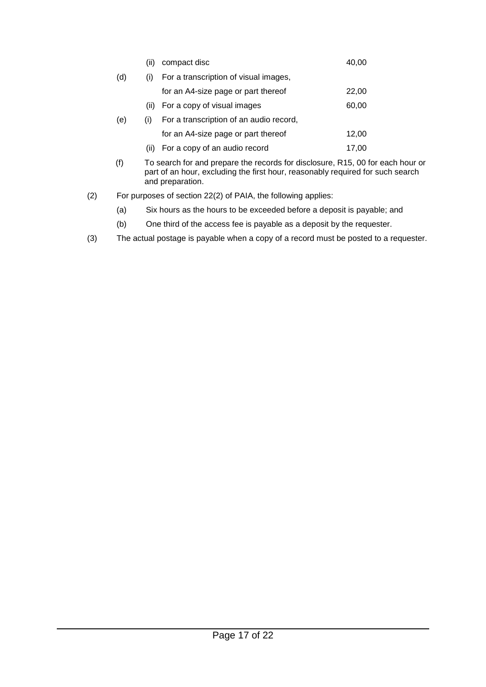|     | (ii) | compact disc                            |       |
|-----|------|-----------------------------------------|-------|
| (d) | (i)  | For a transcription of visual images,   |       |
|     |      | for an A4-size page or part thereof     | 22,00 |
|     | (ii) | For a copy of visual images             | 60,00 |
| (e) | (i)  | For a transcription of an audio record, |       |
|     |      | for an A4-size page or part thereof     | 12,00 |
|     | (11) | For a copy of an audio record           | 17.00 |
|     |      |                                         |       |

- (f) To search for and prepare the records for disclosure, R15, 00 for each hour or part of an hour, excluding the first hour, reasonably required for such search and preparation.
- (2) For purposes of section 22(2) of PAIA, the following applies:
	- (a) Six hours as the hours to be exceeded before a deposit is payable; and
	- (b) One third of the access fee is payable as a deposit by the requester.
- (3) The actual postage is payable when a copy of a record must be posted to a requester.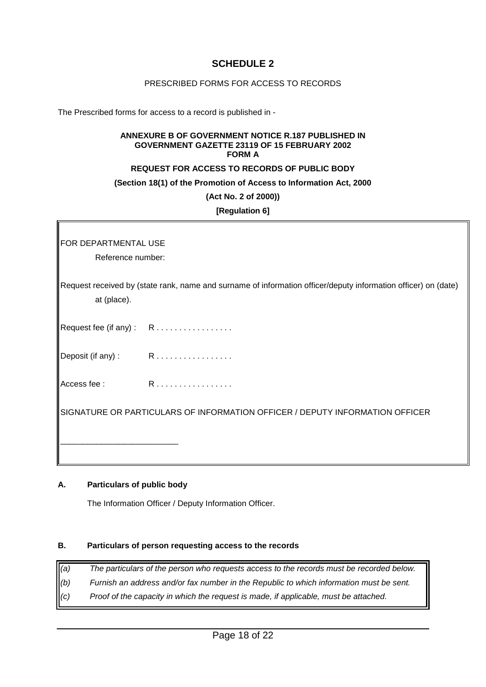#### **SCHEDULE 2**

#### PRESCRIBED FORMS FOR ACCESS TO RECORDS

<span id="page-18-2"></span><span id="page-18-1"></span><span id="page-18-0"></span>The Prescribed forms for access to a record is published in -

#### **ANNEXURE B OF GOVERNMENT NOTICE R.187 PUBLISHED IN GOVERNMENT GAZETTE 23119 OF 15 FEBRUARY 2002 FORM A**

#### **REQUEST FOR ACCESS TO RECORDS OF PUBLIC BODY**

#### **(Section 18(1) of the Promotion of Access to Information Act, 2000**

**(Act No. 2 of 2000))**

**[Regulation 6]**

FOR DEPARTMENTAL USE

Reference number:

Request received by (state rank, name and surname of information officer/deputy information officer) on (date) at (place).

Request fee (if any): R................

Deposit (if any) :  $R$ .................

Access fee : R . . . . . . . . . . . . . . . . .

SIGNATURE OR PARTICULARS OF INFORMATION OFFICER / DEPUTY INFORMATION OFFICER

#### <span id="page-18-3"></span>**A. Particulars of public body**

\_\_\_\_\_\_\_\_\_\_\_\_\_\_\_\_\_\_\_\_\_\_\_\_\_\_

The Information Officer / Deputy Information Officer.

#### <span id="page-18-4"></span>**B. Particulars of person requesting access to the records**

- *(a) The particulars of the person who requests access to the records must be recorded below.*
- *(b) Furnish an address and/or fax number in the Republic to which information must be sent.*
- *(c) Proof of the capacity in which the request is made, if applicable, must be attached.*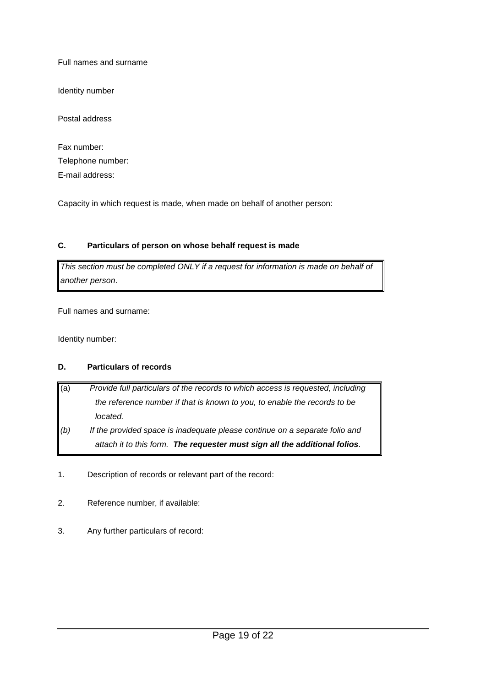Full names and surname

Identity number

Postal address

| Fax number:       |
|-------------------|
| Telephone number: |
| E-mail address:   |

Capacity in which request is made, when made on behalf of another person:

#### <span id="page-19-0"></span>**C. Particulars of person on whose behalf request is made**

*This section must be completed ONLY if a request for information is made on behalf of another person*.

Full names and surname:

Identity number:

#### <span id="page-19-1"></span>**D. Particulars of records**

- (a) *Provide full particulars of the records to which access is requested, including the reference number if that is known to you, to enable the records to be located.*
- *(b) If the provided space is inadequate please continue on a separate folio and attach it to this form. The requester must sign all the additional folios.*
- 1. Description of records or relevant part of the record:
- 2. Reference number, if available:
- 3. Any further particulars of record: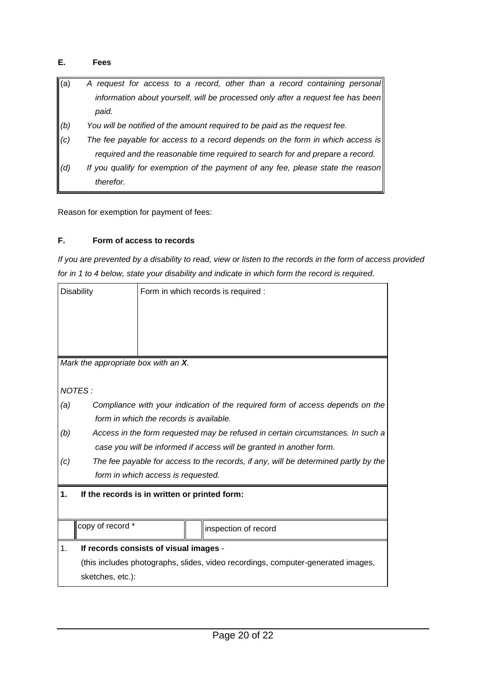#### <span id="page-20-0"></span>**E. Fees**

- (a) *A request for access to a record, other than a record containing personal information about yourself, will be processed only after a request fee has been paid.*
- *(b) You will be notified of the amount required to be paid as the request fee.*
- *(c) The fee payable for access to a record depends on the form in which access is required and the reasonable time required to search for and prepare a record.*
- *(d) If you qualify for exemption of the payment of any fee, please state the reason therefor.*

Reason for exemption for payment of fees:

#### <span id="page-20-1"></span>**F. Form of access to records**

*If you are prevented by a disability to read, view or listen to the records in the form of access provided for in 1 to 4 below, state your disability and indicate in which form the record is required*.

|     | <b>Disability</b>                                                               |                                               | Form in which records is required :                                                 |  |  |  |  |  |
|-----|---------------------------------------------------------------------------------|-----------------------------------------------|-------------------------------------------------------------------------------------|--|--|--|--|--|
|     | Mark the appropriate box with an X.                                             |                                               |                                                                                     |  |  |  |  |  |
|     | NOTES:                                                                          |                                               |                                                                                     |  |  |  |  |  |
| (a) |                                                                                 |                                               | Compliance with your indication of the required form of access depends on the       |  |  |  |  |  |
|     |                                                                                 | form in which the records is available.       |                                                                                     |  |  |  |  |  |
| (b) | Access in the form requested may be refused in certain circumstances. In such a |                                               |                                                                                     |  |  |  |  |  |
|     | case you will be informed if access will be granted in another form.            |                                               |                                                                                     |  |  |  |  |  |
| (c) |                                                                                 |                                               | The fee payable for access to the records, if any, will be determined partly by the |  |  |  |  |  |
|     | form in which access is requested.                                              |                                               |                                                                                     |  |  |  |  |  |
| 1.  |                                                                                 | If the records is in written or printed form: |                                                                                     |  |  |  |  |  |
|     |                                                                                 |                                               |                                                                                     |  |  |  |  |  |
|     | copy of record *                                                                |                                               | inspection of record                                                                |  |  |  |  |  |
| 1.  | If records consists of visual images -                                          |                                               |                                                                                     |  |  |  |  |  |
|     |                                                                                 |                                               | (this includes photographs, slides, video recordings, computer-generated images,    |  |  |  |  |  |
|     | sketches, etc.):                                                                |                                               |                                                                                     |  |  |  |  |  |